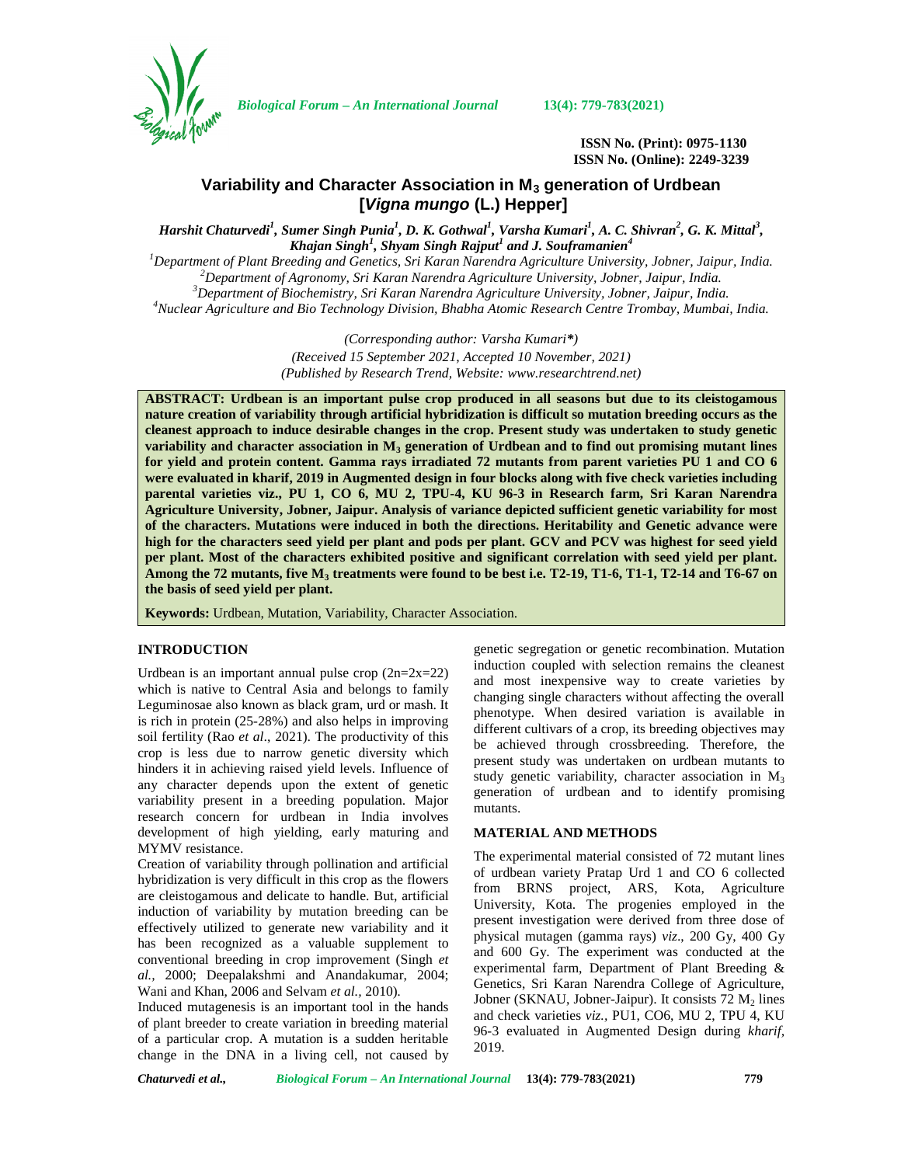

*Biological Forum – An International Journal* **13(4): 779-783(2021)**

**ISSN No. (Print): 0975-1130 ISSN No. (Online): 2249-3239**

# **Variability and Character Association in M<sup>3</sup> generation of Urdbean [***Vigna mungo* **(L.) Hepper]**

*Harshit Chaturvedi<sup>1</sup> , Sumer Singh Punia<sup>1</sup> , D. K. Gothwal<sup>1</sup> , Varsha Kumari<sup>1</sup> , A. C. Shivran<sup>2</sup> , G. K. Mittal<sup>3</sup> , Khajan Singh<sup>1</sup> , Shyam Singh Rajput<sup>1</sup> and J. Souframanien<sup>4</sup>*

Department of Plant Breeding and Genetics, Sri Karan Narendra Agriculture University, Jobner, Jaipur, India.<br><sup>2</sup> Department of Agronomy, Sri Karan Narendra Agriculture University, Jobner, Jaipur, India.<br><sup>3</sup> Department of

*(Corresponding author: Varsha Kumari\*) (Received 15 September 2021, Accepted 10 November, 2021) (Published by Research Trend, Website: [www.researchtrend.net\)](www.researchtrend.net)*

**ABSTRACT: Urdbean is an important pulse crop produced in all seasons but due to its cleistogamous nature creation of variability through artificial hybridization is difficult so mutation breeding occurs as the cleanest approach to induce desirable changes in the crop. Present study was undertaken to study genetic variability and character association in M<sup>3</sup> generation of Urdbean and to find out promising mutant lines for yield and protein content. Gamma rays irradiated 72 mutants from parent varieties PU 1 and CO 6 were evaluated in kharif, 2019 in Augmented design in four blocks along with five check varieties including parental varieties viz., PU 1, CO 6, MU 2, TPU-4, KU 96-3 in Research farm, Sri Karan Narendra Agriculture University, Jobner, Jaipur. Analysis of variance depicted sufficient genetic variability for most of the characters. Mutations were induced in both the directions. Heritability and Genetic advance were high for the characters seed yield per plant and pods per plant. GCV and PCV was highest for seed yield per plant. Most of the characters exhibited positive and significant correlation with seed yield per plant. Among the 72 mutants, five M<sup>3</sup> treatments were found to be best i.e. T2-19, T1-6, T1-1, T2-14 and T6-67 on the basis of seed yield per plant.**

**Keywords:** Urdbean, Mutation, Variability, Character Association.

## **INTRODUCTION**

Urdbean is an important annual pulse crop  $(2n=2x=22)$ which is native to Central Asia and belongs to family Leguminosae also known as black gram, urd or mash. It is rich in protein (25-28%) and also helps in improving soil fertility (Rao *et al*., 2021). The productivity of this crop is less due to narrow genetic diversity which hinders it in achieving raised yield levels. Influence of any character depends upon the extent of genetic variability present in a breeding population. Major research concern for urdbean in India involves development of high yielding, early maturing and MYMV resistance.

Creation of variability through pollination and artificial hybridization is very difficult in this crop as the flowers are cleistogamous and delicate to handle. But, artificial induction of variability by mutation breeding can be effectively utilized to generate new variability and it has been recognized as a valuable supplement to conventional breeding in crop improvement (Singh *et al.,* 2000; Deepalakshmi and Anandakumar, 2004; Wani and Khan, 2006 and Selvam *et al.,* 2010)*.*

Induced mutagenesis is an important tool in the hands of plant breeder to create variation in breeding material of a particular crop. A mutation is a sudden heritable change in the DNA in a living cell, not caused by

genetic segregation or genetic recombination. Mutation induction coupled with selection remains the cleanest and most inexpensive way to create varieties by changing single characters without affecting the overall phenotype. When desired variation is available in different cultivars of a crop, its breeding objectives may be achieved through crossbreeding. Therefore, the present study was undertaken on urdbean mutants to study genetic variability, character association in  $M_3$ generation of urdbean and to identify promising mutants.

## **MATERIAL AND METHODS**

The experimental material consisted of 72 mutant lines of urdbean variety Pratap Urd 1 and CO 6 collected from BRNS project, ARS, Kota, Agriculture University, Kota. The progenies employed in the present investigation were derived from three dose of physical mutagen (gamma rays) *viz*., 200 Gy, 400 Gy and 600 Gy. The experiment was conducted at the experimental farm, Department of Plant Breeding & Genetics, Sri Karan Narendra College of Agriculture, Jobner (SKNAU, Jobner-Jaipur). It consists  $72 M<sub>2</sub>$  lines and check varieties *viz.,* PU1, CO6, MU 2, TPU 4, KU 96-3 evaluated in Augmented Design during *kharif,* 2019.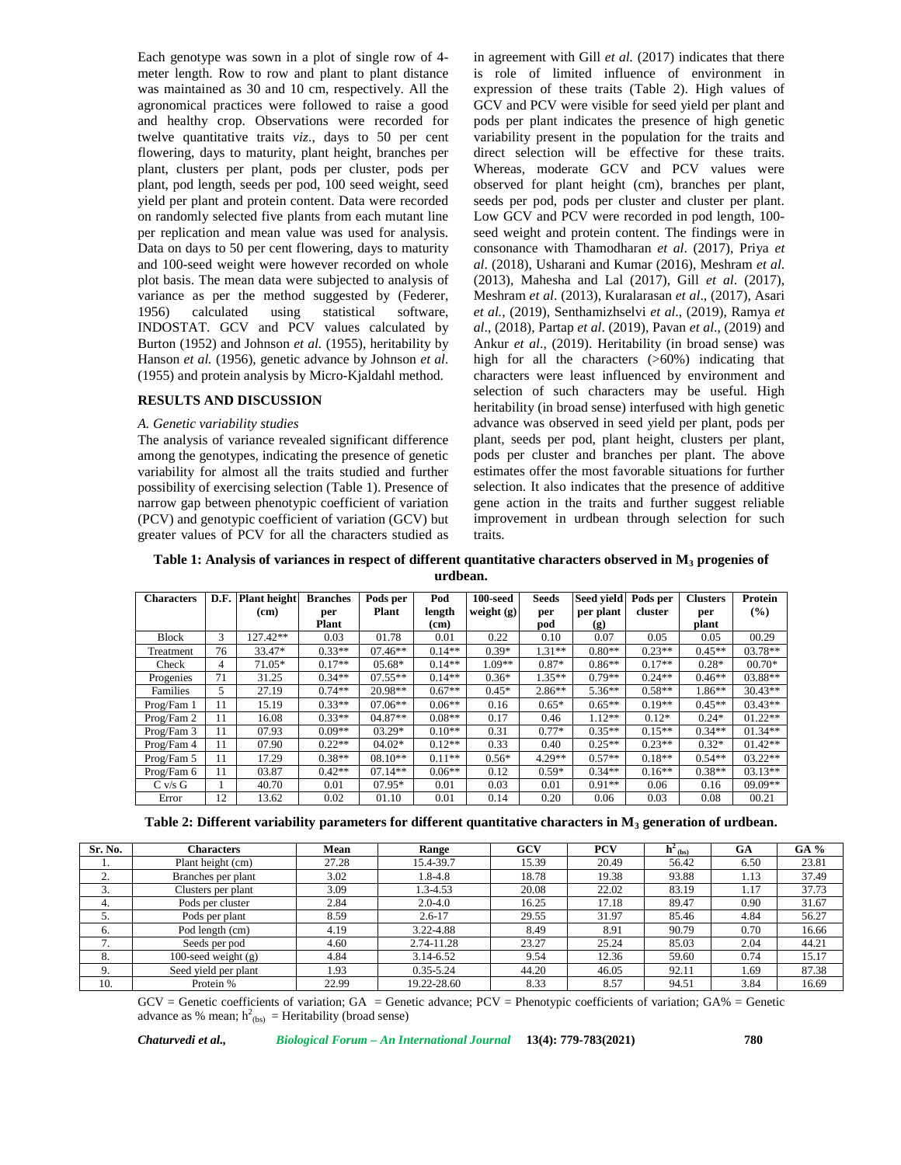Each genotype was sown in a plot of single row of 4 meter length. Row to row and plant to plant distance was maintained as 30 and 10 cm, respectively. All the agronomical practices were followed to raise a good and healthy crop. Observations were recorded for twelve quantitative traits *viz*., days to 50 per cent flowering, days to maturity, plant height, branches per plant, clusters per plant, pods per cluster, pods per plant, pod length, seeds per pod, 100 seed weight, seed yield per plant and protein content. Data were recorded on randomly selected five plants from each mutant line per replication and mean value was used for analysis. Data on days to 50 per cent flowering, days to maturity and 100-seed weight were however recorded on whole plot basis. The mean data were subjected to analysis of variance as per the method suggested by (Federer, 1956) calculated using statistical software, INDOSTAT. GCV and PCV values calculated by Burton (1952) and Johnson *et al.* (1955), heritability by Hanson *et al.* (1956), genetic advance by Johnson *et al*. (1955) and protein analysis by Micro-Kjaldahl method.

### **RESULTS AND DISCUSSION**

#### *A. Genetic variability studies*

The analysis of variance revealed significant difference among the genotypes, indicating the presence of genetic variability for almost all the traits studied and further possibility of exercising selection (Table 1). Presence of narrow gap between phenotypic coefficient of variation (PCV) and genotypic coefficient of variation (GCV) but greater values of PCV for all the characters studied as

in agreement with Gill *et al.* (2017) indicates that there is role of limited influence of environment in expression of these traits (Table 2). High values of GCV and PCV were visible for seed yield per plant and pods per plant indicates the presence of high genetic variability present in the population for the traits and direct selection will be effective for these traits. Whereas, moderate GCV and PCV values were observed for plant height (cm), branches per plant, seeds per pod, pods per cluster and cluster per plant. Low GCV and PCV were recorded in pod length, 100 seed weight and protein content. The findings were in consonance with Thamodharan *et al*. (2017), Priya *et al*. (2018), Usharani and Kumar (2016), Meshram *et al*. (2013), Mahesha and Lal (2017), Gill *et al*. (2017), Meshram *et al*. (2013), Kuralarasan *et al*., (2017), Asari *et al.,* (2019), Senthamizhselvi *et al*., (2019), Ramya *et al*., (2018), Partap *et al*. (2019), Pavan *et al*., (2019) and Ankur *et al*., (2019). Heritability (in broad sense) was high for all the characters ( $>60\%$ ) indicating that characters were least influenced by environment and selection of such characters may be useful. High heritability (in broad sense) interfused with high genetic advance was observed in seed yield per plant, pods per plant, seeds per pod, plant height, clusters per plant, pods per cluster and branches per plant. The above estimates offer the most favorable situations for further selection. It also indicates that the presence of additive gene action in the traits and further suggest reliable improvement in urdbean through selection for such traits.

**Table 1: Analysis of variances in respect of different quantitative characters observed in M<sup>3</sup> progenies of urdbean.**

| <b>Characters</b> | D.F. | <b>Plant</b> height<br>(cm) | <b>Branches</b><br>per | Pods per<br>Plant | Pod<br>length     | $100$ -seed<br>weight $(g)$ | <b>Seeds</b><br>per | <b>Seed vield</b><br>per plant | Pods per<br>cluster | <b>Clusters</b><br>per | Protein<br>$\frac{9}{6}$ |
|-------------------|------|-----------------------------|------------------------|-------------------|-------------------|-----------------------------|---------------------|--------------------------------|---------------------|------------------------|--------------------------|
|                   |      |                             | Plant                  |                   | (c <sub>m</sub> ) |                             | pod                 | (g)                            |                     | plant                  |                          |
| <b>Block</b>      | 3    | 127.42**                    | 0.03                   | 01.78             | 0.01              | 0.22                        | 0.10                | 0.07                           | 0.05                | 0.05                   | 00.29                    |
| Treatment         | 76   | 33.47*                      | $0.33**$               | $07.46**$         | $0.14**$          | $0.39*$                     | $1.31**$            | $0.80**$                       | $0.23**$            | $0.45**$               | $03.78**$                |
| Check             | 4    | $71.05*$                    | $0.17**$               | $05.68*$          | $0.14**$          | $1.09**$                    | $0.87*$             | $0.86**$                       | $0.17**$            | $0.28*$                | $00.70*$                 |
| Progenies         | 71   | 31.25                       | $0.34**$               | $07.55**$         | $0.14**$          | $0.36*$                     | $1.35**$            | $0.79**$                       | $0.24**$            | $0.46**$               | $03.88**$                |
| Families          | 5    | 27.19                       | $0.74**$               | 20.98**           | $0.67**$          | $0.45*$                     | $2.86**$            | $5.36**$                       | $0.58**$            | $1.86**$               | $30.43**$                |
| Prog/Fam 1        | 11   | 15.19                       | $0.33**$               | $07.06**$         | $0.06**$          | 0.16                        | $0.65*$             | $0.65**$                       | $0.19**$            | $0.45**$               | $03.43**$                |
| Prog/Fam 2        | 11   | 16.08                       | $0.33**$               | $04.87**$         | $0.08**$          | 0.17                        | 0.46                | $1.12**$                       | $0.12*$             | $0.24*$                | $01.22**$                |
| Prog/Fam 3        | 11   | 07.93                       | $0.09**$               | $03.29*$          | $0.10**$          | 0.31                        | $0.77*$             | $0.35**$                       | $0.15**$            | $0.34**$               | $01.34**$                |
| Prog/Fam 4        | 11   | 07.90                       | $0.22**$               | $04.02*$          | $0.12**$          | 0.33                        | 0.40                | $0.25**$                       | $0.23**$            | $0.32*$                | $01.42**$                |
| Prog/Fam 5        | 11   | 17.29                       | $0.38**$               | $08.10**$         | $0.11**$          | $0.56*$                     | 4.29**              | $0.57**$                       | $0.18**$            | $0.54**$               | $03.22**$                |
| Prog/Fam 6        | 11   | 03.87                       | $0.42**$               | $07.14**$         | $0.06**$          | 0.12                        | $0.59*$             | $0.34**$                       | $0.16**$            | $0.38**$               | $03.13**$                |
| $C$ v/s $G$       |      | 40.70                       | 0.01                   | $07.95*$          | 0.01              | 0.03                        | 0.01                | $0.91**$                       | 0.06                | 0.16                   | $09.09**$                |
| Error             | 12   | 13.62                       | 0.02                   | 01.10             | 0.01              | 0.14                        | 0.20                | 0.06                           | 0.03                | 0.08                   | 00.21                    |

**Table 2: Different variability parameters for different quantitative characters in M<sup>3</sup> generation of urdbean.**

| Sr. No.                  | <b>Characters</b>     | Mean  | <b>Range</b>  | GCV   | <b>PCV</b> | $\mathbf{h}^2$ (bs) | <b>GA</b> | $GA\%$ |
|--------------------------|-----------------------|-------|---------------|-------|------------|---------------------|-----------|--------|
| . .                      | Plant height (cm)     | 27.28 | 15.4-39.7     | 15.39 | 20.49      | 56.42               | 6.50      | 23.81  |
| ۷.                       | Branches per plant    | 3.02  | $1.8 - 4.8$   | 18.78 | 19.38      | 93.88               | 1.13      | 37.49  |
| 3.                       | Clusters per plant    | 3.09  | 1.3-4.53      | 20.08 | 22.02      | 83.19               | 1.17      | 37.73  |
| 4.                       | Pods per cluster      | 2.84  | $2.0 - 4.0$   | 16.25 | 17.18      | 89.47               | 0.90      | 31.67  |
| ⊃.                       | Pods per plant        | 8.59  | $2.6 - 17$    | 29.55 | 31.97      | 85.46               | 4.84      | 56.27  |
| 6.                       | Pod length (cm)       | 4.19  | 3.22-4.88     | 8.49  | 8.91       | 90.79               | 0.70      | 16.66  |
| $\overline{\phantom{a}}$ | Seeds per pod         | 4.60  | 2.74-11.28    | 23.27 | 25.24      | 85.03               | 2.04      | 44.21  |
| 8.                       | 100-seed weight $(g)$ | 4.84  | 3.14-6.52     | 9.54  | 12.36      | 59.60               | 0.74      | 15.17  |
| 9.                       | Seed yield per plant  | 1.93  | $0.35 - 5.24$ | 44.20 | 46.05      | 92.11               | 1.69      | 87.38  |
| 10.                      | Protein %             | 22.99 | 19.22-28.60   | 8.33  | 8.57       | 94.51               | 3.84      | 16.69  |

 $GCV =$  Genetic coefficients of variation;  $GA =$  Genetic advance;  $PCV =$  Phenotypic coefficients of variation;  $GA$ % = Genetic advance as % mean;  $h^2_{(bs)}$  = Heritability (broad sense)

*Chaturvedi et al., Biological Forum – An International Journal* **13(4): 779-783(2021) 780**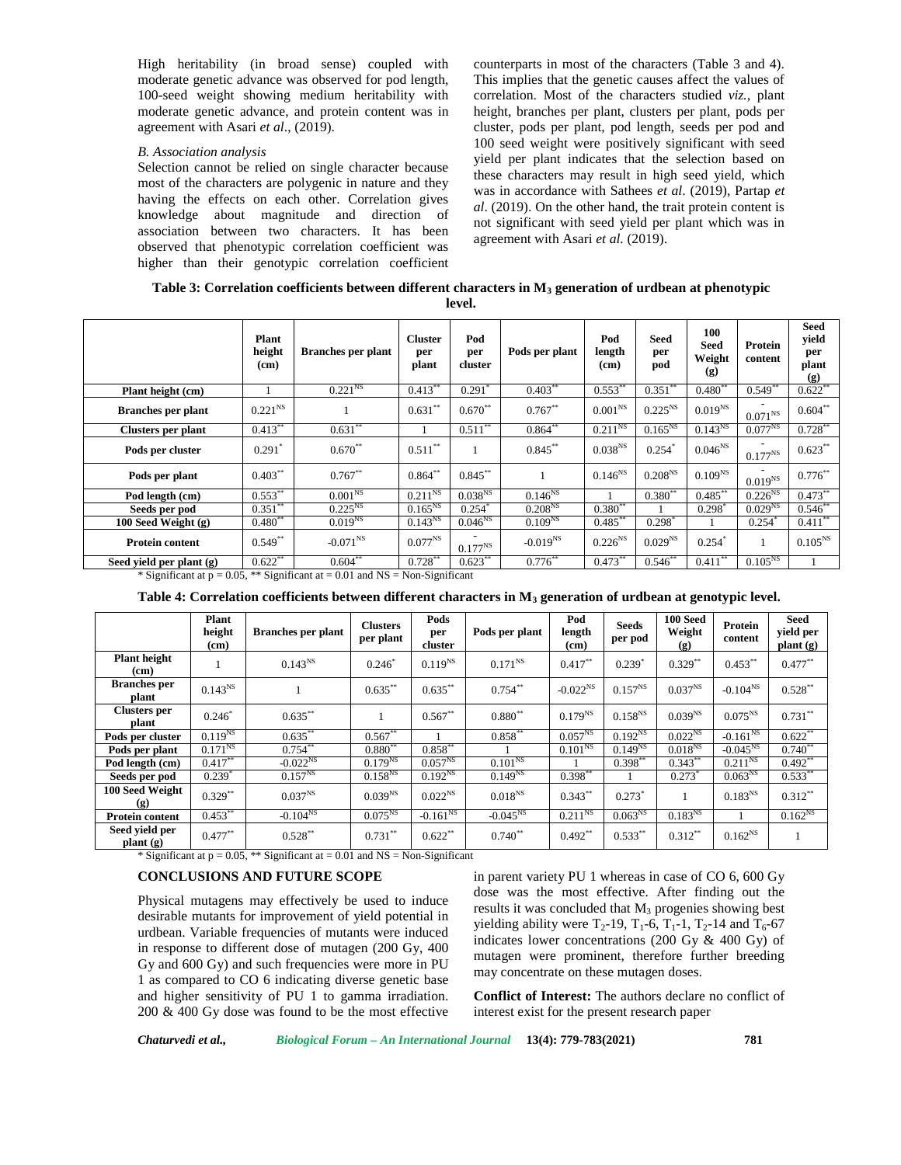High heritability (in broad sense) coupled with moderate genetic advance was observed for pod length, 100-seed weight showing medium heritability with moderate genetic advance, and protein content was in agreement with Asari *et al*., (2019).

### *B. Association analysis*

Selection cannot be relied on single character because most of the characters are polygenic in nature and they having the effects on each other. Correlation gives knowledge about magnitude and direction of association between two characters. It has been observed that phenotypic correlation coefficient was higher than their genotypic correlation coefficient

counterparts in most of the characters (Table 3 and 4). This implies that the genetic causes affect the values of correlation. Most of the characters studied *viz.,* plant height, branches per plant, clusters per plant, pods per cluster, pods per plant, pod length, seeds per pod and 100 seed weight were positively significant with seed yield per plant indicates that the selection based on these characters may result in high seed yield, which was in accordance with Sathees *et al*. (2019), Partap *et al*. (2019). On the other hand, the trait protein content is not significant with seed yield per plant which was in agreement with Asari *et al.* (2019).

**Table 3: Correlation coefficients between different characters in M<sup>3</sup> generation of urdbean at phenotypic level.**

|                           | Plant<br>height<br>(cm) | <b>Branches</b> per plant | <b>Cluster</b><br>per<br>plant | Pod<br>per<br>cluster | Pods per plant | Pod<br>length<br>(c <sub>m</sub> ) | Seed<br>per<br>pod   | 100<br>Seed<br>Weight<br>$\left( \mathbf{g} \right)$ | Protein<br>content   | <b>Seed</b><br>yield<br>per<br>plant<br>(g) |
|---------------------------|-------------------------|---------------------------|--------------------------------|-----------------------|----------------|------------------------------------|----------------------|------------------------------------------------------|----------------------|---------------------------------------------|
| Plant height (cm)         |                         | $0.221^{NS}$              | $0.413***$                     | 0.291                 | $0.403***$     | $0.553***$                         | 0.351                | $0.480^{**}$                                         | 0.549                | $0.622$ **                                  |
| <b>Branches</b> per plant | $0.221^{NS}$            |                           | $0.631***$                     | $0.670**$             | $0.767***$     | $0.001^{\mathrm{NS}}$              | $0.225^{NS}$         | $0.019^{NS}$                                         | $0.071^{NS}$         | $0.604**$                                   |
| Clusters per plant        | $0.413***$              | $0.631**$                 |                                | $0.511***$            | $0.864$ **     | $0.211^{NS}$                       | $0.165^{NS}$         | $0.143^{NS}$                                         | $0.077^{NS}$         | $0.728***$                                  |
| Pods per cluster          | $0.291*$                | $0.670**$                 | $0.511***$                     |                       | $0.845***$     | $0.038^{NS}$                       | $0.254$ <sup>*</sup> | $0.046^{NS}$                                         | $0.177^{NS}$         | $0.623***$                                  |
| Pods per plant            | $0.403***$              | $0.767***$                | $0.864***$                     | $0.845***$            |                | $0.146^{NS}$                       | $0.208^{NS}$         | $0.109^{NS}$                                         | $0.019^{NS}$         | $0.776***$                                  |
| Pod length (cm)           | $0.553***$              | 0.001 <sup>NS</sup>       | $0.211^{NS}$                   | 0.038 <sup>NS</sup>   | $0.146^{NS}$   |                                    | $0.380**$            | $0.485***$                                           | $0.226^{NS}$         | $0.473***$                                  |
| Seeds per pod             | $0.351***$              | $0.225^{NS}$              | $0.165^{NS}$                   | 0.254                 | $0.208^{NS}$   | $0.380**$                          |                      | 0.298                                                | 0.029 <sup>NS</sup>  | $0.546***$                                  |
| 100 Seed Weight $(g)$     | $0.480**$               | $0.019^{NS}$              | $0.143^{NS}$                   | $0.046^{NS}$          | $0.109^{NS}$   | $0.485***$                         | $0.298*$             |                                                      | $0.254$ <sup>*</sup> | $0.411***$                                  |
| <b>Protein content</b>    | $0.549**$               | $-0.071^{NS}$             | $0.077^{NS}$                   | $0.177^{NS}$          | $-0.019^{NS}$  | $0.226^{NS}$                       | 0.029 <sup>NS</sup>  | $0.254$ <sup>*</sup>                                 |                      | $0.105^{NS}$                                |
| Seed yield per plant (g)  | $0.622**$               | $0.604$ **                | $0.728***$                     | $0.623***$            | $0.776***$     | $0.473***$                         | $0.546**$            | $0.411***$                                           | $0.105^{NS}$         |                                             |

\* Significant at  $p = 0.05$ , \*\* Significant at  $= 0.01$  and NS  $=$  Non-Significant

|                              | Plant<br>height<br>(cm) | <b>Branches</b> per plant                                                                                           | <b>Clusters</b><br>per plant | Pods<br>per<br>cluster            | Pods per plant | Pod<br>length<br>(cm) | <b>Seeds</b><br>per pod | 100 Seed<br>Weight<br>(g) | Protein<br>content  | Seed<br>yield per<br>plant(g) |
|------------------------------|-------------------------|---------------------------------------------------------------------------------------------------------------------|------------------------------|-----------------------------------|----------------|-----------------------|-------------------------|---------------------------|---------------------|-------------------------------|
| <b>Plant</b> height<br>(cm)  |                         | $0.143^{NS}$                                                                                                        | $0.246*$                     | $0.119^{NS}$                      | $0.171^{NS}$   | $0.417***$            | $0.239*$                | $0.329**$                 | $0.453***$          | $0.477***$                    |
| <b>Branches</b> per<br>plant | 0.143 <sup>NS</sup>     |                                                                                                                     | $0.635***$                   | $0.635***$                        | $0.754***$     | $-0.022^{NS}$         | $0.157^{NS}$            | 0.037 <sup>NS</sup>       | $-0.104^{NS}$       | $0.528***$                    |
| <b>Clusters</b> per<br>plant | $0.246*$                | $0.635***$                                                                                                          |                              | $0.567**$                         | $0.880**$      | $0.179^{NS}$          | $0.158^{NS}$            | 0.039 <sup>NS</sup>       | $0.075^{NS}$        | $0.731***$                    |
| Pods per cluster             | $0.119^{NS}$            | $0.635***$                                                                                                          | $0.567***$                   |                                   | $0.858***$     | $0.057^{NS}$          | $0.192^{NS}$            | $0.022^{NS}$              | $-0.161^{NS}$       | $0.622***$                    |
| Pods per plant               | $0.171^{NS}$            | $0.754***$                                                                                                          | $0.880**$                    | $0.858***$                        |                | $0.101^{NS}$          | $0.149^{NS}$            | $0.018$ <sup>NS</sup>     | $-0.045^{NS}$       | $0.740**$                     |
| Pod length (cm)              | $0.417***$              | $-0.022^{NS}$                                                                                                       | $0.179^{NS}$                 | $0.057^{NS}$                      | $0.101^{NS}$   |                       | $0.398***$              | $0.343***$                | $0.211^{NS}$        | $0.492**$                     |
| Seeds per pod                | $0.239*$                | $0.157^{NS}$                                                                                                        | $0.158^{NS}$                 | $0.192^{NS}$                      | $0.149^{NS}$   | $0.398***$            |                         | 0.273                     | 0.063 <sup>NS</sup> | $0.533***$                    |
| 100 Seed Weight<br>(g)       | $0.329***$              | $0.037^{NS}$                                                                                                        | 0.039 <sup>NS</sup>          | $0.022^{NS}$                      | $0.018^{NS}$   | $0.343***$            | $0.273$ <sup>*</sup>    |                           | $0.183^{NS}$        | $0.312***$                    |
| <b>Protein content</b>       | $0.453***$              | $-0.104^{NS}$                                                                                                       | $0.075^{NS}$                 | $-0.161^{NS}$                     | $-0.045^{NS}$  | $0.211^{NS}$          | 0.063 <sup>NS</sup>     | $0.183^{NS}$              |                     | $0.162^{NS}$                  |
| Seed yield per<br>plant(g)   | $0.477***$              | $0.528***$<br>$\alpha$ $\alpha$ $\alpha$ $\beta$ $\alpha$ $\beta$ $\alpha$ $\beta$ $\alpha$<br>$\sim$ $\sim$ $\sim$ | $0.731***$                   | $0.622**$<br>$\sim$ $\sim$ $\sim$ | $0.740**$      | $0.492**$             | $0.533***$              | $0.312**$                 | $0.162^{NS}$        |                               |

\* Significant at  $p = 0.05$ , \*\* Significant at  $= 0.01$  and NS  $=$  Non-Significant

### **CONCLUSIONS AND FUTURE SCOPE**

Physical mutagens may effectively be used to induce desirable mutants for improvement of yield potential in urdbean. Variable frequencies of mutants were induced in response to different dose of mutagen (200 Gy, 400 Gy and 600 Gy) and such frequencies were more in PU 1 as compared to CO 6 indicating diverse genetic base and higher sensitivity of PU 1 to gamma irradiation. 200 & 400 Gy dose was found to be the most effective in parent variety PU 1 whereas in case of CO 6, 600 Gy dose was the most effective. After finding out the results it was concluded that  $M_3$  progenies showing best yielding ability were  $T_2$ -19,  $T_1$ -6,  $T_1$ -1,  $T_2$ -14 and  $T_6$ -67 indicates lower concentrations (200 Gy & 400 Gy) of mutagen were prominent, therefore further breeding may concentrate on these mutagen doses.

**Conflict of Interest:** The authors declare no conflict of interest exist for the present research paper

*Chaturvedi et al., Biological Forum – An International Journal* **13(4): 779-783(2021) 781**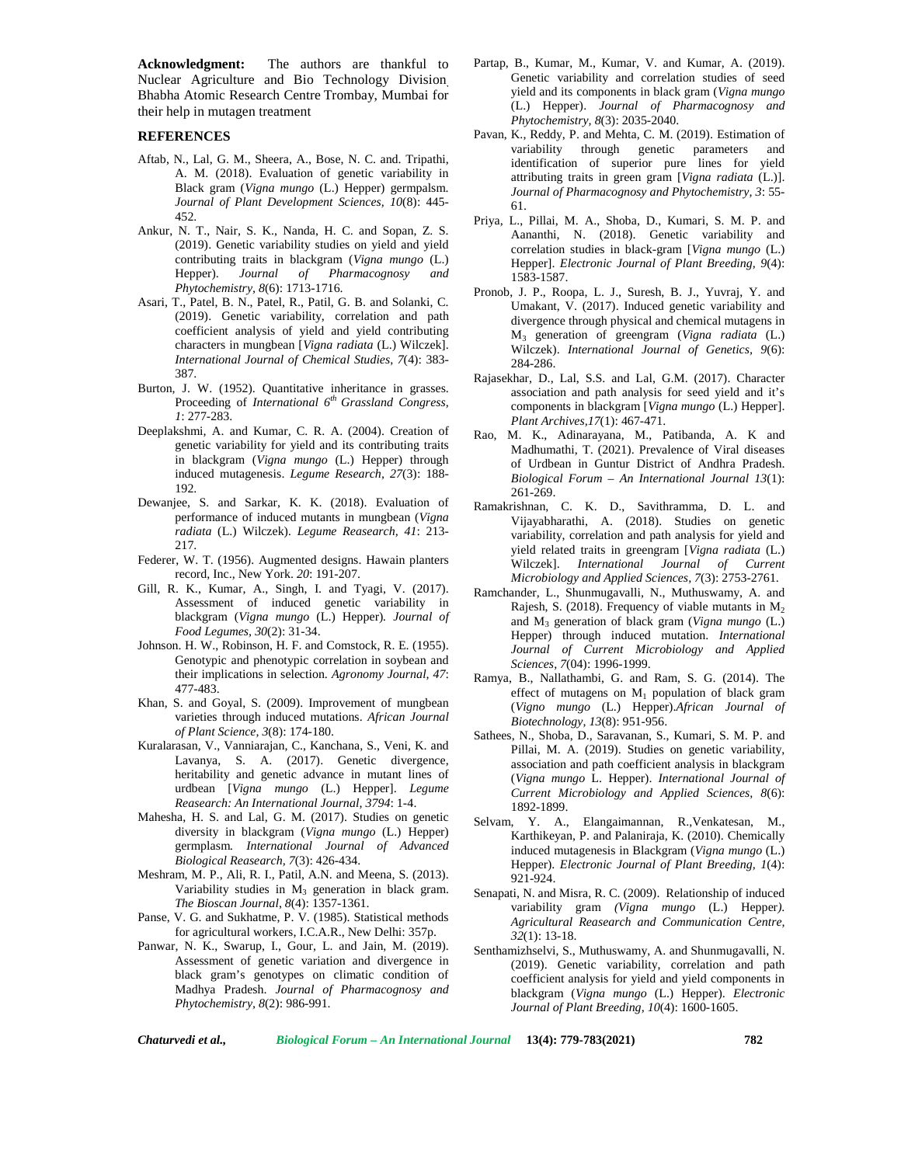**Acknowledgment:** The authors are thankful to Nuclear Agriculture and Bio Technology Division, Bhabha Atomic Research Centre Trombay, Mumbai for their help in mutagen treatment

## **REFERENCES**

- Aftab, N., Lal, G. M., Sheera, A., Bose, N. C. and. Tripathi, A. M. (2018). Evaluation of genetic variability in Black gram (*Vigna mungo* (L.) Hepper) germpalsm. *Journal of Plant Development Sciences, 10*(8): 445- 452.
- Ankur, N. T., Nair, S. K., Nanda, H. C. and Sopan, Z. S. (2019). Genetic variability studies on yield and yield contributing traits in blackgram (*Vigna mungo* (L.) Hepper). *Journal of Pharmacognosy and Phytochemistry, 8*(6): 1713-1716.
- Asari, T., Patel, B. N., Patel, R., Patil, G. B. and Solanki, C. (2019). Genetic variability, correlation and path coefficient analysis of yield and yield contributing characters in mungbean [*Vigna radiata* (L.) Wilczek]. *International Journal of Chemical Studies, 7*(4): 383- 387.
- Burton, J. W. (1952). Quantitative inheritance in grasses. Proceeding of *International 6th Grassland Congress, 1*: 277-283.
- Deeplakshmi, A. and Kumar, C. R. A. (2004). Creation of Rao, genetic variability for yield and its contributing traits in blackgram (*Vigna mungo* (L.) Hepper) through induced mutagenesis. *Legume Research, 27*(3): 188- 192.
- Dewanjee, S. and Sarkar, K. K. (2018). Evaluation of performance of induced mutants in mungbean (*Vigna radiata* (L.) Wilczek)*. Legume Reasearch, 41*: 213- 217.
- Federer, W. T. (1956). Augmented designs. Hawain planters record, Inc., New York. *20*: 191-207.
- Gill, R. K., Kumar, A., Singh, I. and Tyagi, V. (2017). Assessment of induced genetic variability in blackgram (*Vigna mungo* (L.) Hepper)*. Journal of Food Legumes, 30*(2): 31-34.
- Johnson. H. W., Robinson, H. F. and Comstock, R. E. (1955). Genotypic and phenotypic correlation in soybean and their implications in selection. *Agronomy Journal, 47*: 477-483.
- Khan, S. and Goyal, S. (2009). Improvement of mungbean varieties through induced mutations. *African Journal of Plant Science, 3*(8): 174-180.
- Kuralarasan, V., Vanniarajan, C., Kanchana, S., Veni, K. and Lavanya, S. A. (2017). Genetic divergence, heritability and genetic advance in mutant lines of urdbean [*Vigna mungo* (L.) Hepper]. *Legume Reasearch: An International Journal, 3794*: 1-4.
- Mahesha, H. S. and Lal, G. M. (2017). Studies on genetic diversity in blackgram (*Vigna mungo* (L.) Hepper) germplasm*. International Journal of Advanced Biological Reasearch, 7*(3): 426-434.
- Meshram, M. P., Ali, R. I., Patil, A.N. and Meena, S. (2013). Variability studies in  $M_3$  generation in black gram. *The Bioscan Journal*, *8*(4): 1357-1361.
- Panse, V. G. and Sukhatme, P. V. (1985). Statistical methods for agricultural workers, I.C.A.R., New Delhi: 357p.
- Panwar, N. K., Swarup, I., Gour, L. and Jain, M. (2019). Assessment of genetic variation and divergence in black gram's genotypes on climatic condition of Madhya Pradesh. *Journal of Pharmacognosy and Phytochemistry, 8*(2): 986-991.
- Partap, B., Kumar, M., Kumar, V. and Kumar, A. (2019). Genetic variability and correlation studies of seed yield and its components in black gram (*Vigna mungo* (L.) Hepper). *Journal of Pharmacognosy and Phytochemistry, 8*(3): 2035-2040.
- Pavan, K., Reddy, P. and Mehta, C. M. (2019). Estimation of variability through genetic parameters and identification of superior pure lines for yield attributing traits in green gram [*Vigna radiata* (L.)]. *Journal of Pharmacognosy and Phytochemistry, 3*: 55- 61.
- Priya, L., Pillai, M. A., Shoba, D., Kumari, S. M. P. and Aananthi, N. (2018). Genetic variability and correlation studies in black-gram [*Vigna mungo* (L.) Hepper]. *Electronic Journal of Plant Breeding, 9*(4): 1583-1587.
- Pronob, J. P., Roopa, L. J., Suresh, B. J., Yuvraj, Y. and Umakant, V. (2017). Induced genetic variability and divergence through physical and chemical mutagens in M<sup>3</sup> generation of greengram (*Vigna radiata* (L.) Wilczek). *International Journal of Genetics, 9*(6): 284-286.
- Rajasekhar, D., Lal, S.S. and Lal, G.M. (2017). Character association and path analysis for seed yield and it's components in blackgram [*Vigna mungo* (L.) Hepper]. *Plant Archives,17*(1): 467-471.
- M. K., Adinarayana, M., Patibanda, A. K and Madhumathi, T. (2021). Prevalence of Viral diseases of Urdbean in Guntur District of Andhra Pradesh. *Biological Forum – An International Journal 13*(1): 261-269.
- Ramakrishnan, C. K. D., Savithramma, D. L. and Vijayabharathi, A. (2018). Studies on genetic variability, correlation and path analysis for yield and yield related traits in greengram [*Vigna radiata* (L.) Wilczek]. *International Journal of Current Microbiology and Applied Sciences, 7*(3): 2753-2761.
- Ramchander, L., Shunmugavalli, N., Muthuswamy, A. and Rajesh, S. (2018). Frequency of viable mutants in  $M_2$ and M<sup>3</sup> generation of black gram (*Vigna mungo* (L.) Hepper) through induced mutation. *International Journal of Current Microbiology and Applied Sciences, 7*(04): 1996-1999.
- Ramya, B., Nallathambi, G. and Ram, S. G. (2014). The effect of mutagens on  $M_1$  population of black gram (*Vigno mungo* (L.) Hepper).*African Journal of Biotechnology, 13*(8): 951-956.
- Sathees, N., Shoba, D., Saravanan, S., Kumari, S. M. P. and Pillai, M. A. (2019). Studies on genetic variability, association and path coefficient analysis in blackgram (*Vigna mungo* L. Hepper). *International Journal of Current Microbiology and Applied Sciences, 8*(6): 1892-1899.
- Selvam, Y. A., Elangaimannan, R.,Venkatesan, M., Karthikeyan, P. and Palaniraja, K. (2010). Chemically induced mutagenesis in Blackgram (*Vigna mungo* (L.) Hepper). *Electronic Journal of Plant Breeding, 1*(4): 921-924.
- Senapati, N. and Misra, R. C. (2009). Relationship of induced variability gram *(Vigna mungo* (L.) Hepper*)*. *Agricultural Reasearch and Communication Centre, 32*(1): 13-18.
- Senthamizhselvi, S., Muthuswamy, A. and Shunmugavalli, N. (2019). Genetic variability, correlation and path coefficient analysis for yield and yield components in blackgram (*Vigna mungo* (L.) Hepper). *Electronic Journal of Plant Breeding, 10*(4): 1600-1605.

*Chaturvedi et al., Biological Forum – An International Journal* **13(4): 779-783(2021) 782**